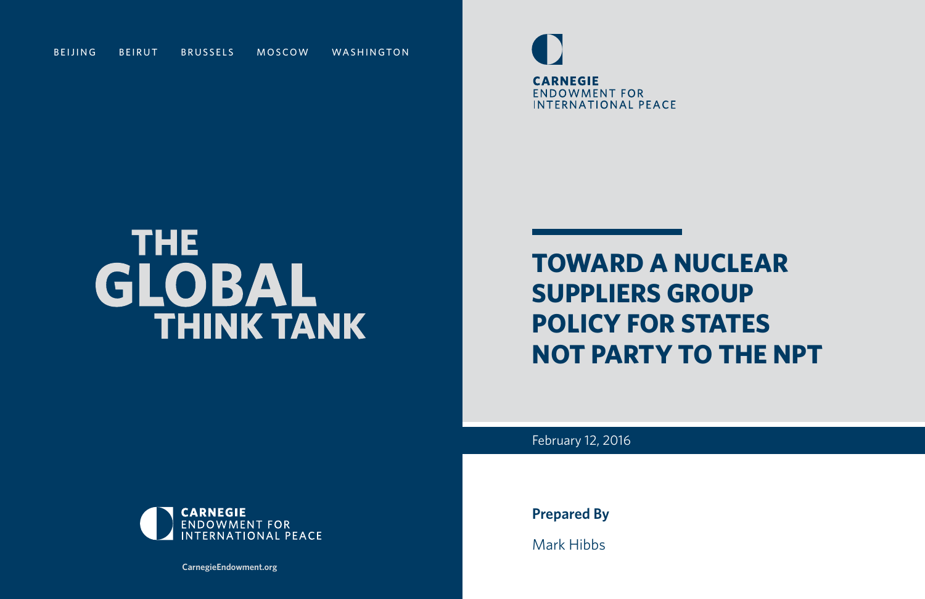

## **TOWARD A NUCLEAR SUPPLIERS GROUP POLICY FOR STATES NOT PARTY TO THE NPT**

February 12, 2016

**Prepared By**

Mark Hibbs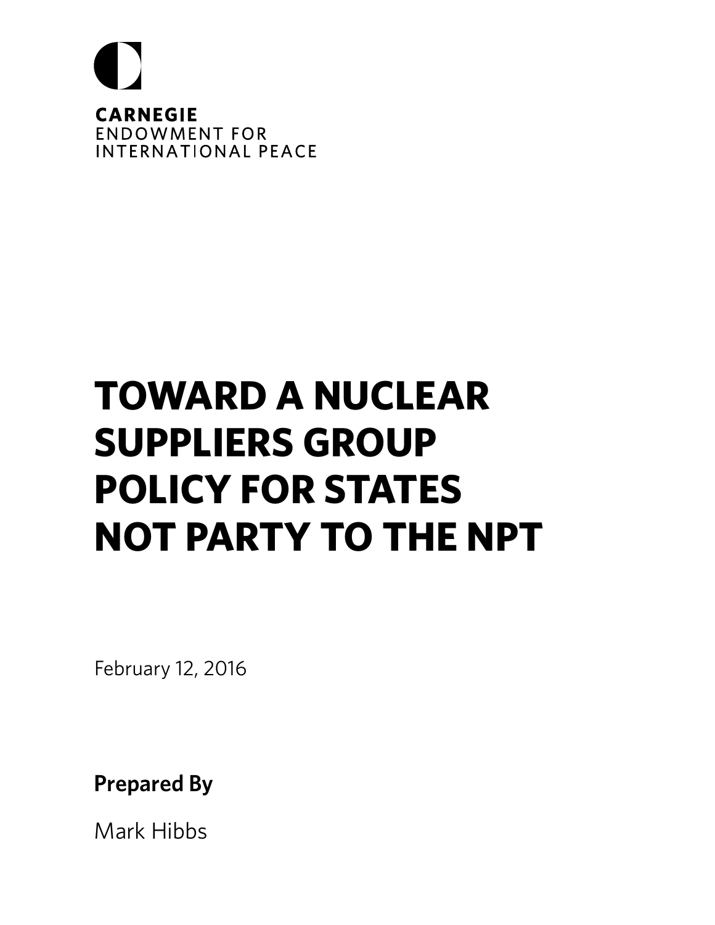

## **TOWARD A NUCLEAR SUPPLIERS GROUP POLICY FOR STATES NOT PARTY TO THE NPT**

February 12, 2016

**Prepared By**

Mark Hibbs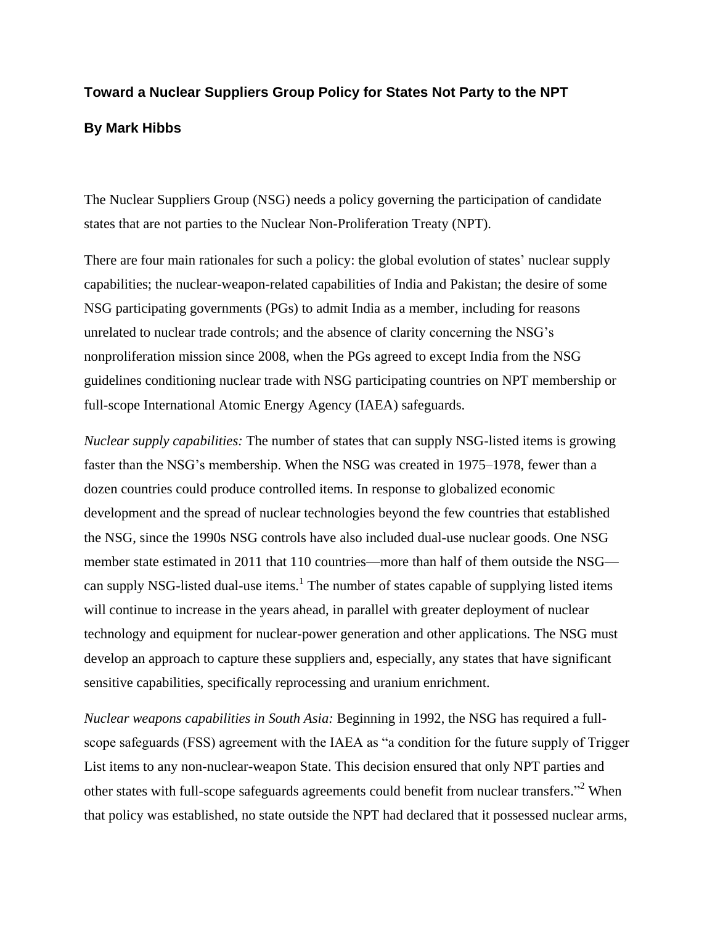### **Toward a Nuclear Suppliers Group Policy for States Not Party to the NPT**

#### **By Mark Hibbs**

The Nuclear Suppliers Group (NSG) needs a policy governing the participation of candidate states that are not parties to the Nuclear Non-Proliferation Treaty (NPT).

There are four main rationales for such a policy: the global evolution of states' nuclear supply capabilities; the nuclear-weapon-related capabilities of India and Pakistan; the desire of some NSG participating governments (PGs) to admit India as a member, including for reasons unrelated to nuclear trade controls; and the absence of clarity concerning the NSG's nonproliferation mission since 2008, when the PGs agreed to except India from the NSG guidelines conditioning nuclear trade with NSG participating countries on NPT membership or full-scope International Atomic Energy Agency (IAEA) safeguards.

*Nuclear supply capabilities:* The number of states that can supply NSG-listed items is growing faster than the NSG's membership. When the NSG was created in 1975–1978, fewer than a dozen countries could produce controlled items. In response to globalized economic development and the spread of nuclear technologies beyond the few countries that established the NSG, since the 1990s NSG controls have also included dual-use nuclear goods. One NSG member state estimated in 2011 that 110 countries—more than half of them outside the NSG can supply NSG-listed dual-use items.<sup>1</sup> The number of states capable of supplying listed items will continue to increase in the years ahead, in parallel with greater deployment of nuclear technology and equipment for nuclear-power generation and other applications. The NSG must develop an approach to capture these suppliers and, especially, any states that have significant sensitive capabilities, specifically reprocessing and uranium enrichment.

*Nuclear weapons capabilities in South Asia:* Beginning in 1992, the NSG has required a fullscope safeguards (FSS) agreement with the IAEA as "a condition for the future supply of Trigger List items to any non-nuclear-weapon State. This decision ensured that only NPT parties and other states with full-scope safeguards agreements could benefit from nuclear transfers."<sup>2</sup> When that policy was established, no state outside the NPT had declared that it possessed nuclear arms,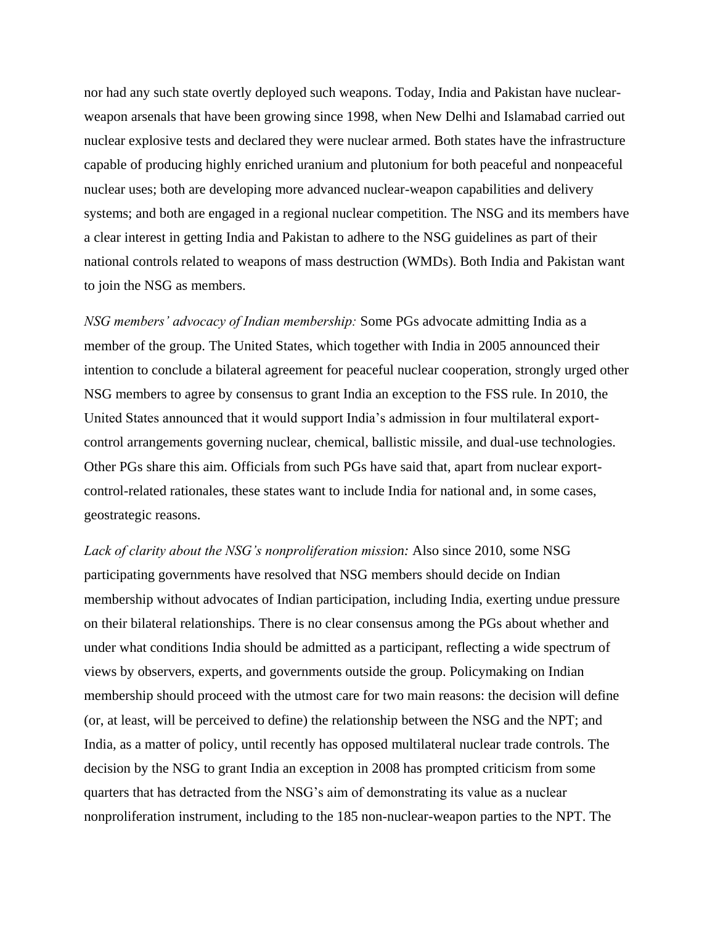nor had any such state overtly deployed such weapons. Today, India and Pakistan have nuclearweapon arsenals that have been growing since 1998, when New Delhi and Islamabad carried out nuclear explosive tests and declared they were nuclear armed. Both states have the infrastructure capable of producing highly enriched uranium and plutonium for both peaceful and nonpeaceful nuclear uses; both are developing more advanced nuclear-weapon capabilities and delivery systems; and both are engaged in a regional nuclear competition. The NSG and its members have a clear interest in getting India and Pakistan to adhere to the NSG guidelines as part of their national controls related to weapons of mass destruction (WMDs). Both India and Pakistan want to join the NSG as members.

*NSG members' advocacy of Indian membership:* Some PGs advocate admitting India as a member of the group. The United States, which together with India in 2005 announced their intention to conclude a bilateral agreement for peaceful nuclear cooperation, strongly urged other NSG members to agree by consensus to grant India an exception to the FSS rule. In 2010, the United States announced that it would support India's admission in four multilateral exportcontrol arrangements governing nuclear, chemical, ballistic missile, and dual-use technologies. Other PGs share this aim. Officials from such PGs have said that, apart from nuclear exportcontrol-related rationales, these states want to include India for national and, in some cases, geostrategic reasons.

*Lack of clarity about the NSG's nonproliferation mission:* Also since 2010, some NSG participating governments have resolved that NSG members should decide on Indian membership without advocates of Indian participation, including India, exerting undue pressure on their bilateral relationships. There is no clear consensus among the PGs about whether and under what conditions India should be admitted as a participant, reflecting a wide spectrum of views by observers, experts, and governments outside the group. Policymaking on Indian membership should proceed with the utmost care for two main reasons: the decision will define (or, at least, will be perceived to define) the relationship between the NSG and the NPT; and India, as a matter of policy, until recently has opposed multilateral nuclear trade controls. The decision by the NSG to grant India an exception in 2008 has prompted criticism from some quarters that has detracted from the NSG's aim of demonstrating its value as a nuclear nonproliferation instrument, including to the 185 non-nuclear-weapon parties to the NPT. The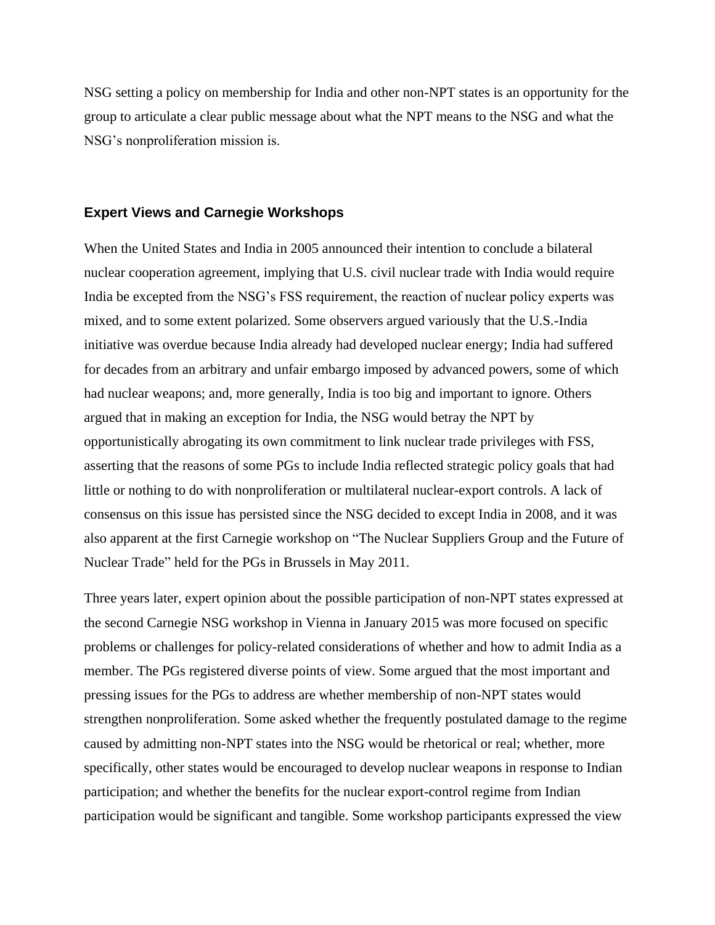NSG setting a policy on membership for India and other non-NPT states is an opportunity for the group to articulate a clear public message about what the NPT means to the NSG and what the NSG's nonproliferation mission is.

#### **Expert Views and Carnegie Workshops**

When the United States and India in 2005 announced their intention to conclude a bilateral nuclear cooperation agreement, implying that U.S. civil nuclear trade with India would require India be excepted from the NSG's FSS requirement, the reaction of nuclear policy experts was mixed, and to some extent polarized. Some observers argued variously that the U.S.-India initiative was overdue because India already had developed nuclear energy; India had suffered for decades from an arbitrary and unfair embargo imposed by advanced powers, some of which had nuclear weapons; and, more generally, India is too big and important to ignore. Others argued that in making an exception for India, the NSG would betray the NPT by opportunistically abrogating its own commitment to link nuclear trade privileges with FSS, asserting that the reasons of some PGs to include India reflected strategic policy goals that had little or nothing to do with nonproliferation or multilateral nuclear-export controls. A lack of consensus on this issue has persisted since the NSG decided to except India in 2008, and it was also apparent at the first Carnegie workshop on "The Nuclear Suppliers Group and the Future of Nuclear Trade" held for the PGs in Brussels in May 2011.

Three years later, expert opinion about the possible participation of non-NPT states expressed at the second Carnegie NSG workshop in Vienna in January 2015 was more focused on specific problems or challenges for policy-related considerations of whether and how to admit India as a member. The PGs registered diverse points of view. Some argued that the most important and pressing issues for the PGs to address are whether membership of non-NPT states would strengthen nonproliferation. Some asked whether the frequently postulated damage to the regime caused by admitting non-NPT states into the NSG would be rhetorical or real; whether, more specifically, other states would be encouraged to develop nuclear weapons in response to Indian participation; and whether the benefits for the nuclear export-control regime from Indian participation would be significant and tangible. Some workshop participants expressed the view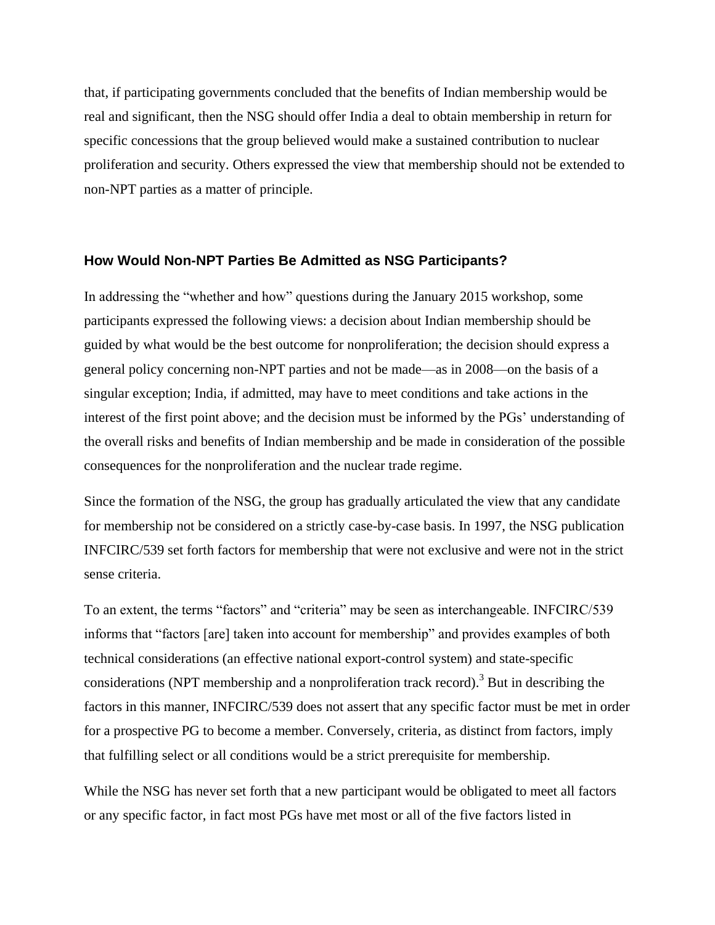that, if participating governments concluded that the benefits of Indian membership would be real and significant, then the NSG should offer India a deal to obtain membership in return for specific concessions that the group believed would make a sustained contribution to nuclear proliferation and security. Others expressed the view that membership should not be extended to non-NPT parties as a matter of principle.

#### **How Would Non-NPT Parties Be Admitted as NSG Participants?**

In addressing the "whether and how" questions during the January 2015 workshop, some participants expressed the following views: a decision about Indian membership should be guided by what would be the best outcome for nonproliferation; the decision should express a general policy concerning non-NPT parties and not be made—as in 2008—on the basis of a singular exception; India, if admitted, may have to meet conditions and take actions in the interest of the first point above; and the decision must be informed by the PGs' understanding of the overall risks and benefits of Indian membership and be made in consideration of the possible consequences for the nonproliferation and the nuclear trade regime.

Since the formation of the NSG, the group has gradually articulated the view that any candidate for membership not be considered on a strictly case-by-case basis. In 1997, the NSG publication INFCIRC/539 set forth factors for membership that were not exclusive and were not in the strict sense criteria.

To an extent, the terms "factors" and "criteria" may be seen as interchangeable. INFCIRC/539 informs that "factors [are] taken into account for membership" and provides examples of both technical considerations (an effective national export-control system) and state-specific considerations (NPT membership and a nonproliferation track record).<sup>3</sup> But in describing the factors in this manner, INFCIRC/539 does not assert that any specific factor must be met in order for a prospective PG to become a member. Conversely, criteria, as distinct from factors, imply that fulfilling select or all conditions would be a strict prerequisite for membership.

While the NSG has never set forth that a new participant would be obligated to meet all factors or any specific factor, in fact most PGs have met most or all of the five factors listed in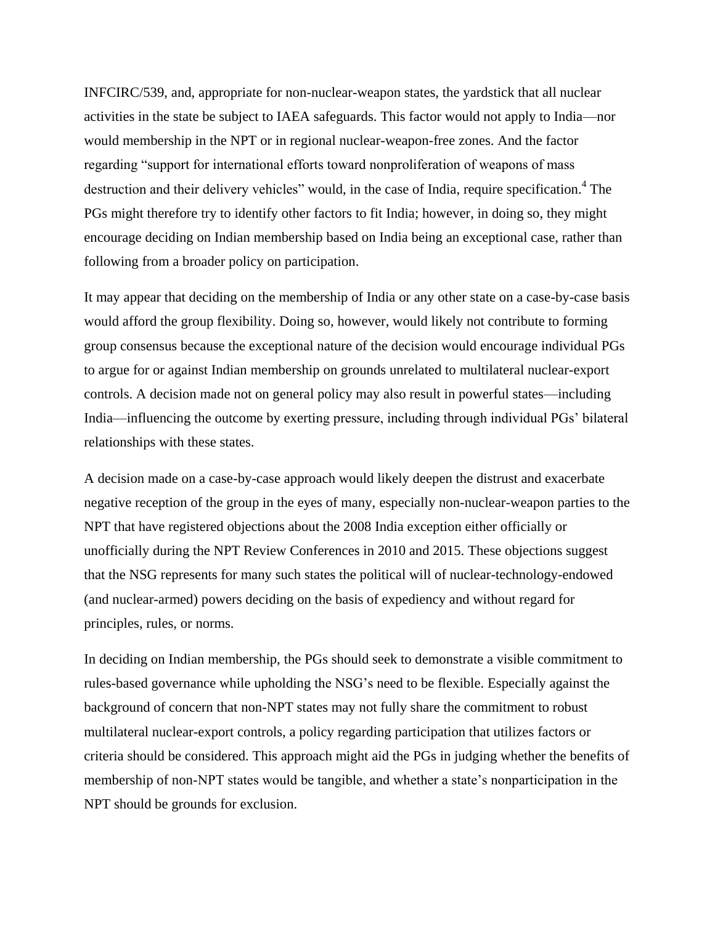INFCIRC/539, and, appropriate for non-nuclear-weapon states, the yardstick that all nuclear activities in the state be subject to IAEA safeguards. This factor would not apply to India—nor would membership in the NPT or in regional nuclear-weapon-free zones. And the factor regarding "support for international efforts toward nonproliferation of weapons of mass destruction and their delivery vehicles" would, in the case of India, require specification.<sup>4</sup> The PGs might therefore try to identify other factors to fit India; however, in doing so, they might encourage deciding on Indian membership based on India being an exceptional case, rather than following from a broader policy on participation.

It may appear that deciding on the membership of India or any other state on a case-by-case basis would afford the group flexibility. Doing so, however, would likely not contribute to forming group consensus because the exceptional nature of the decision would encourage individual PGs to argue for or against Indian membership on grounds unrelated to multilateral nuclear-export controls. A decision made not on general policy may also result in powerful states—including India—influencing the outcome by exerting pressure, including through individual PGs' bilateral relationships with these states.

A decision made on a case-by-case approach would likely deepen the distrust and exacerbate negative reception of the group in the eyes of many, especially non-nuclear-weapon parties to the NPT that have registered objections about the 2008 India exception either officially or unofficially during the NPT Review Conferences in 2010 and 2015. These objections suggest that the NSG represents for many such states the political will of nuclear-technology-endowed (and nuclear-armed) powers deciding on the basis of expediency and without regard for principles, rules, or norms.

In deciding on Indian membership, the PGs should seek to demonstrate a visible commitment to rules-based governance while upholding the NSG's need to be flexible. Especially against the background of concern that non-NPT states may not fully share the commitment to robust multilateral nuclear-export controls, a policy regarding participation that utilizes factors or criteria should be considered. This approach might aid the PGs in judging whether the benefits of membership of non-NPT states would be tangible, and whether a state's nonparticipation in the NPT should be grounds for exclusion.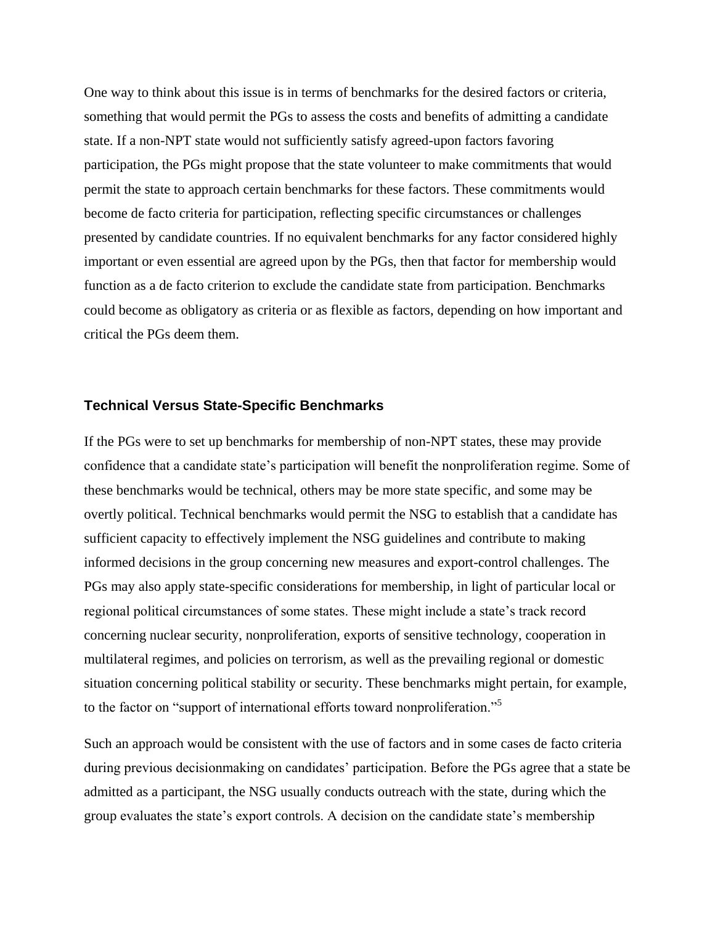One way to think about this issue is in terms of benchmarks for the desired factors or criteria, something that would permit the PGs to assess the costs and benefits of admitting a candidate state. If a non-NPT state would not sufficiently satisfy agreed-upon factors favoring participation, the PGs might propose that the state volunteer to make commitments that would permit the state to approach certain benchmarks for these factors. These commitments would become de facto criteria for participation, reflecting specific circumstances or challenges presented by candidate countries. If no equivalent benchmarks for any factor considered highly important or even essential are agreed upon by the PGs, then that factor for membership would function as a de facto criterion to exclude the candidate state from participation. Benchmarks could become as obligatory as criteria or as flexible as factors, depending on how important and critical the PGs deem them.

#### **Technical Versus State-Specific Benchmarks**

If the PGs were to set up benchmarks for membership of non-NPT states, these may provide confidence that a candidate state's participation will benefit the nonproliferation regime. Some of these benchmarks would be technical, others may be more state specific, and some may be overtly political. Technical benchmarks would permit the NSG to establish that a candidate has sufficient capacity to effectively implement the NSG guidelines and contribute to making informed decisions in the group concerning new measures and export-control challenges. The PGs may also apply state-specific considerations for membership, in light of particular local or regional political circumstances of some states. These might include a state's track record concerning nuclear security, nonproliferation, exports of sensitive technology, cooperation in multilateral regimes, and policies on terrorism, as well as the prevailing regional or domestic situation concerning political stability or security. These benchmarks might pertain, for example, to the factor on "support of international efforts toward nonproliferation."<sup>5</sup>

Such an approach would be consistent with the use of factors and in some cases de facto criteria during previous decisionmaking on candidates' participation. Before the PGs agree that a state be admitted as a participant, the NSG usually conducts outreach with the state, during which the group evaluates the state's export controls. A decision on the candidate state's membership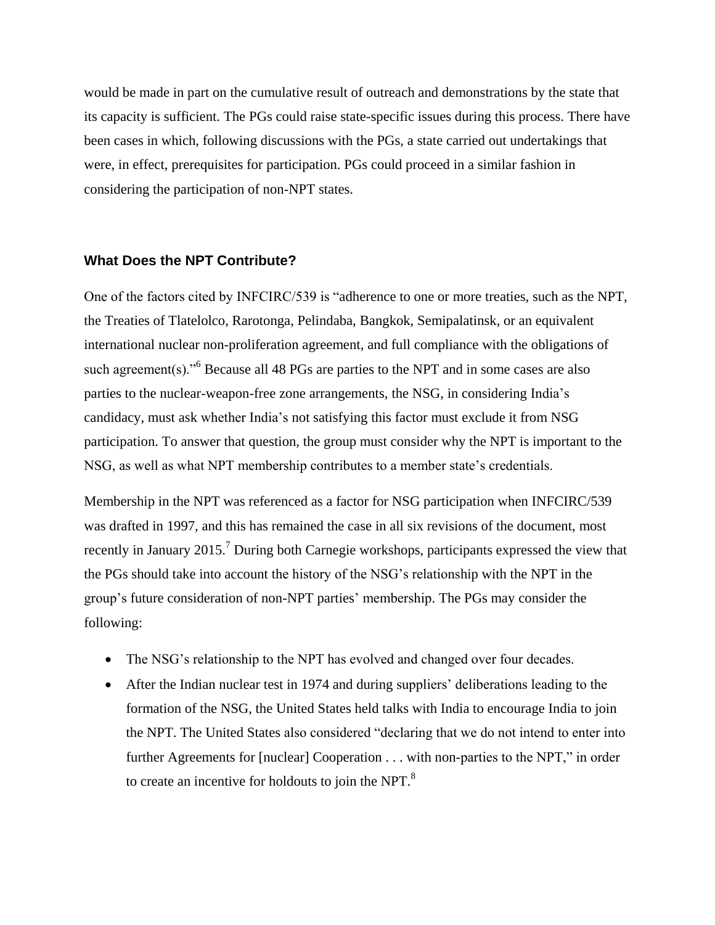would be made in part on the cumulative result of outreach and demonstrations by the state that its capacity is sufficient. The PGs could raise state-specific issues during this process. There have been cases in which, following discussions with the PGs, a state carried out undertakings that were, in effect, prerequisites for participation. PGs could proceed in a similar fashion in considering the participation of non-NPT states.

#### **What Does the NPT Contribute?**

One of the factors cited by INFCIRC/539 is "adherence to one or more treaties, such as the NPT, the Treaties of Tlatelolco, Rarotonga, Pelindaba, Bangkok, Semipalatinsk, or an equivalent international nuclear non-proliferation agreement, and full compliance with the obligations of such agreement(s)."<sup>6</sup> Because all 48 PGs are parties to the NPT and in some cases are also parties to the nuclear-weapon-free zone arrangements, the NSG, in considering India's candidacy, must ask whether India's not satisfying this factor must exclude it from NSG participation. To answer that question, the group must consider why the NPT is important to the NSG, as well as what NPT membership contributes to a member state's credentials.

Membership in the NPT was referenced as a factor for NSG participation when INFCIRC/539 was drafted in 1997, and this has remained the case in all six revisions of the document, most recently in January 2015.<sup>7</sup> During both Carnegie workshops, participants expressed the view that the PGs should take into account the history of the NSG's relationship with the NPT in the group's future consideration of non-NPT parties' membership. The PGs may consider the following:

- The NSG's relationship to the NPT has evolved and changed over four decades.
- After the Indian nuclear test in 1974 and during suppliers' deliberations leading to the formation of the NSG, the United States held talks with India to encourage India to join the NPT. The United States also considered "declaring that we do not intend to enter into further Agreements for [nuclear] Cooperation . . . with non-parties to the NPT," in order to create an incentive for holdouts to join the NPT.<sup>8</sup>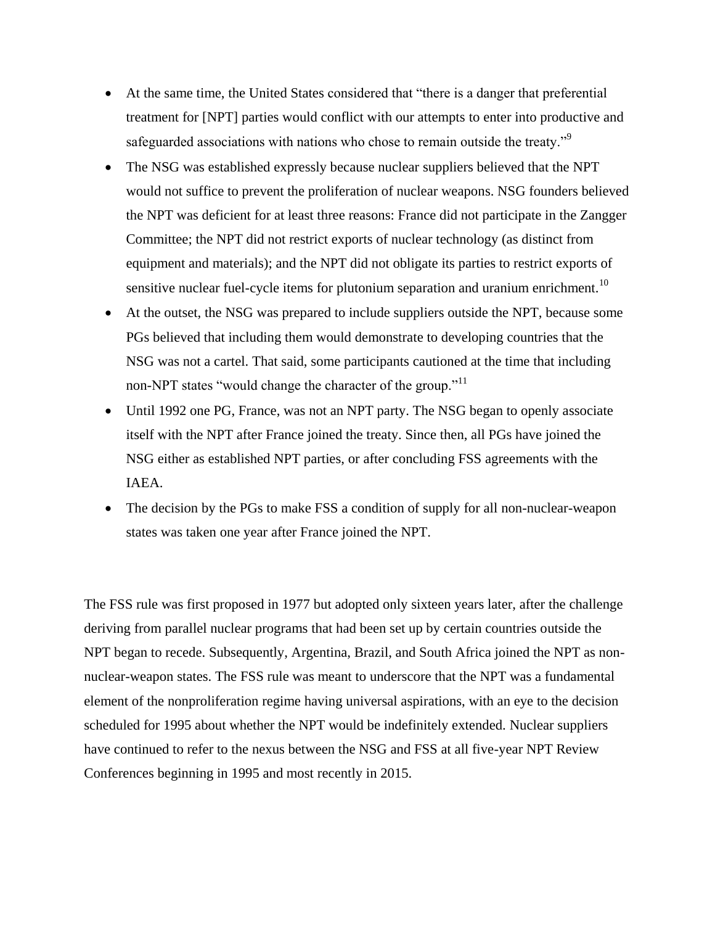- At the same time, the United States considered that "there is a danger that preferential treatment for [NPT] parties would conflict with our attempts to enter into productive and safeguarded associations with nations who chose to remain outside the treaty."<sup>9</sup>
- The NSG was established expressly because nuclear suppliers believed that the NPT would not suffice to prevent the proliferation of nuclear weapons. NSG founders believed the NPT was deficient for at least three reasons: France did not participate in the Zangger Committee; the NPT did not restrict exports of nuclear technology (as distinct from equipment and materials); and the NPT did not obligate its parties to restrict exports of sensitive nuclear fuel-cycle items for plutonium separation and uranium enrichment.<sup>10</sup>
- At the outset, the NSG was prepared to include suppliers outside the NPT, because some PGs believed that including them would demonstrate to developing countries that the NSG was not a cartel. That said, some participants cautioned at the time that including non-NPT states "would change the character of the group."<sup>11</sup>
- Until 1992 one PG, France, was not an NPT party. The NSG began to openly associate itself with the NPT after France joined the treaty. Since then, all PGs have joined the NSG either as established NPT parties, or after concluding FSS agreements with the IAEA.
- The decision by the PGs to make FSS a condition of supply for all non-nuclear-weapon states was taken one year after France joined the NPT.

The FSS rule was first proposed in 1977 but adopted only sixteen years later, after the challenge deriving from parallel nuclear programs that had been set up by certain countries outside the NPT began to recede. Subsequently, Argentina, Brazil, and South Africa joined the NPT as nonnuclear-weapon states. The FSS rule was meant to underscore that the NPT was a fundamental element of the nonproliferation regime having universal aspirations, with an eye to the decision scheduled for 1995 about whether the NPT would be indefinitely extended. Nuclear suppliers have continued to refer to the nexus between the NSG and FSS at all five-year NPT Review Conferences beginning in 1995 and most recently in 2015.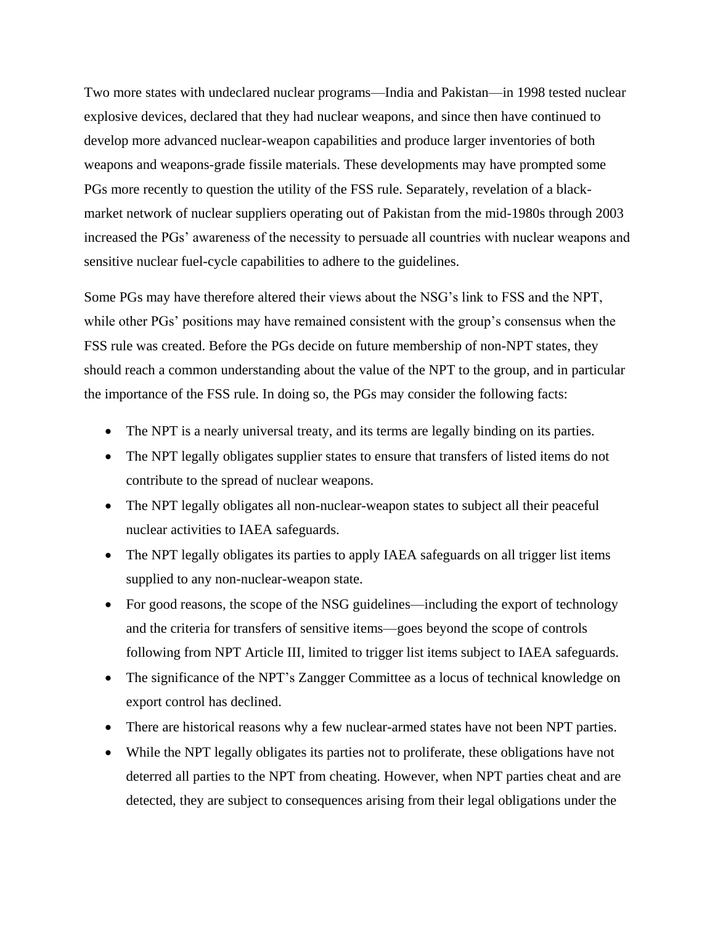Two more states with undeclared nuclear programs—India and Pakistan—in 1998 tested nuclear explosive devices, declared that they had nuclear weapons, and since then have continued to develop more advanced nuclear-weapon capabilities and produce larger inventories of both weapons and weapons-grade fissile materials. These developments may have prompted some PGs more recently to question the utility of the FSS rule. Separately, revelation of a blackmarket network of nuclear suppliers operating out of Pakistan from the mid-1980s through 2003 increased the PGs' awareness of the necessity to persuade all countries with nuclear weapons and sensitive nuclear fuel-cycle capabilities to adhere to the guidelines.

Some PGs may have therefore altered their views about the NSG's link to FSS and the NPT, while other PGs' positions may have remained consistent with the group's consensus when the FSS rule was created. Before the PGs decide on future membership of non-NPT states, they should reach a common understanding about the value of the NPT to the group, and in particular the importance of the FSS rule. In doing so, the PGs may consider the following facts:

- The NPT is a nearly universal treaty, and its terms are legally binding on its parties.
- The NPT legally obligates supplier states to ensure that transfers of listed items do not contribute to the spread of nuclear weapons.
- The NPT legally obligates all non-nuclear-weapon states to subject all their peaceful nuclear activities to IAEA safeguards.
- The NPT legally obligates its parties to apply IAEA safeguards on all trigger list items supplied to any non-nuclear-weapon state.
- For good reasons, the scope of the NSG guidelines—including the export of technology and the criteria for transfers of sensitive items—goes beyond the scope of controls following from NPT Article III, limited to trigger list items subject to IAEA safeguards.
- The significance of the NPT's Zangger Committee as a locus of technical knowledge on export control has declined.
- There are historical reasons why a few nuclear-armed states have not been NPT parties.
- While the NPT legally obligates its parties not to proliferate, these obligations have not deterred all parties to the NPT from cheating. However, when NPT parties cheat and are detected, they are subject to consequences arising from their legal obligations under the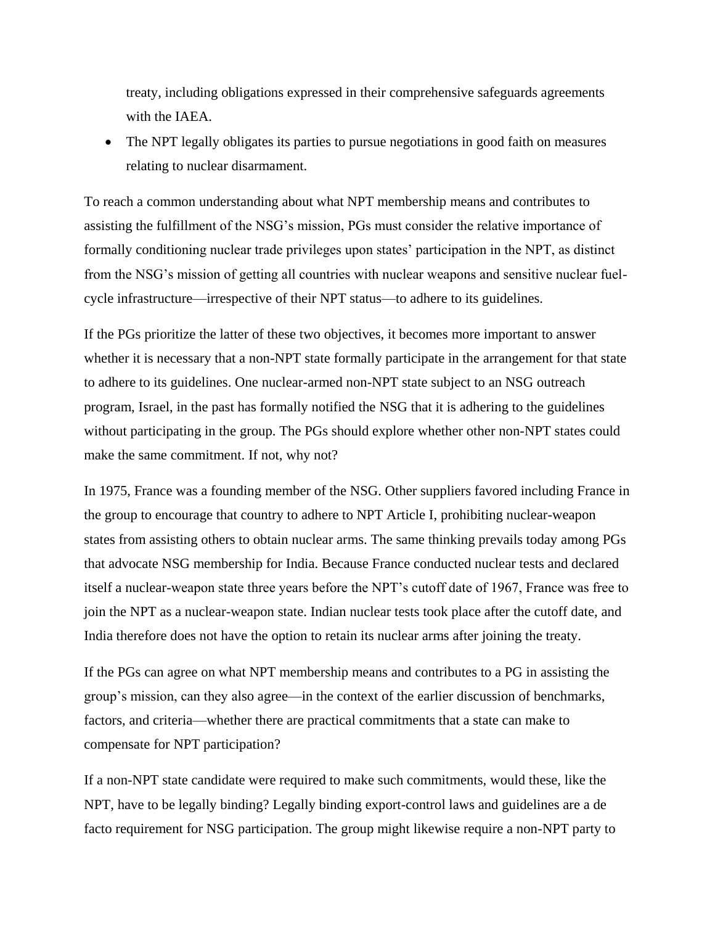treaty, including obligations expressed in their comprehensive safeguards agreements with the IAEA.

• The NPT legally obligates its parties to pursue negotiations in good faith on measures relating to nuclear disarmament.

To reach a common understanding about what NPT membership means and contributes to assisting the fulfillment of the NSG's mission, PGs must consider the relative importance of formally conditioning nuclear trade privileges upon states' participation in the NPT, as distinct from the NSG's mission of getting all countries with nuclear weapons and sensitive nuclear fuelcycle infrastructure—irrespective of their NPT status—to adhere to its guidelines.

If the PGs prioritize the latter of these two objectives, it becomes more important to answer whether it is necessary that a non-NPT state formally participate in the arrangement for that state to adhere to its guidelines. One nuclear-armed non-NPT state subject to an NSG outreach program, Israel, in the past has formally notified the NSG that it is adhering to the guidelines without participating in the group. The PGs should explore whether other non-NPT states could make the same commitment. If not, why not?

In 1975, France was a founding member of the NSG. Other suppliers favored including France in the group to encourage that country to adhere to NPT Article I, prohibiting nuclear-weapon states from assisting others to obtain nuclear arms. The same thinking prevails today among PGs that advocate NSG membership for India. Because France conducted nuclear tests and declared itself a nuclear-weapon state three years before the NPT's cutoff date of 1967, France was free to join the NPT as a nuclear-weapon state. Indian nuclear tests took place after the cutoff date, and India therefore does not have the option to retain its nuclear arms after joining the treaty.

If the PGs can agree on what NPT membership means and contributes to a PG in assisting the group's mission, can they also agree—in the context of the earlier discussion of benchmarks, factors, and criteria—whether there are practical commitments that a state can make to compensate for NPT participation?

If a non-NPT state candidate were required to make such commitments, would these, like the NPT, have to be legally binding? Legally binding export-control laws and guidelines are a de facto requirement for NSG participation. The group might likewise require a non-NPT party to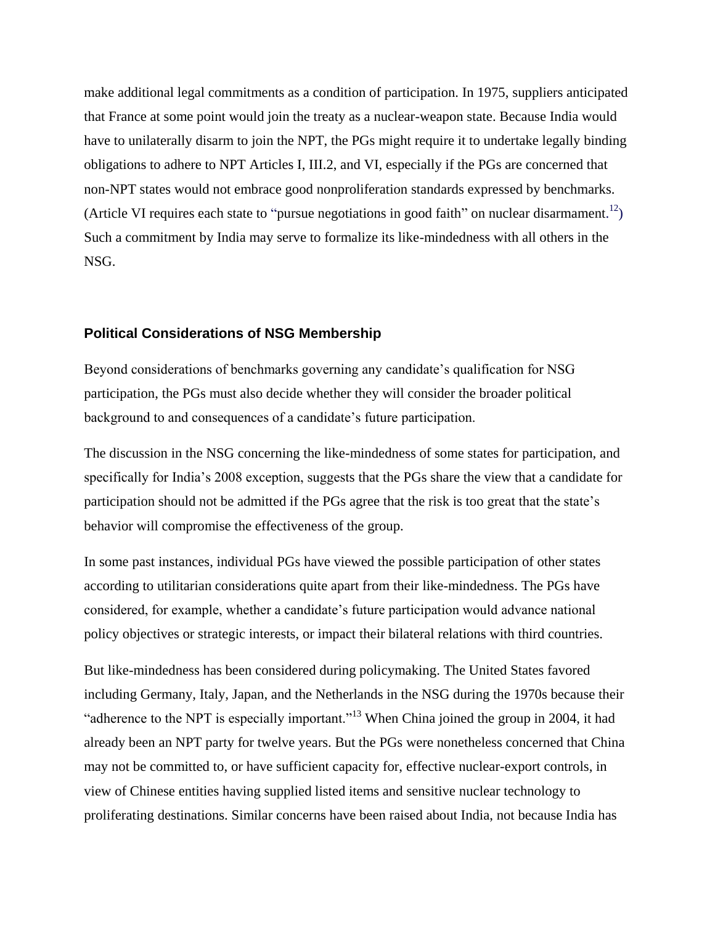make additional legal commitments as a condition of participation. In 1975, suppliers anticipated that France at some point would join the treaty as a nuclear-weapon state. Because India would have to unilaterally disarm to join the NPT, the PGs might require it to undertake legally binding obligations to adhere to NPT Articles I, III.2, and VI, especially if the PGs are concerned that non-NPT states would not embrace good nonproliferation standards expressed by benchmarks. (Article VI requires each state to "pursue negotiations in good faith" on nuclear disarmament.<sup>12</sup>) Such a commitment by India may serve to formalize its like-mindedness with all others in the NSG.

#### **Political Considerations of NSG Membership**

Beyond considerations of benchmarks governing any candidate's qualification for NSG participation, the PGs must also decide whether they will consider the broader political background to and consequences of a candidate's future participation.

The discussion in the NSG concerning the like-mindedness of some states for participation, and specifically for India's 2008 exception, suggests that the PGs share the view that a candidate for participation should not be admitted if the PGs agree that the risk is too great that the state's behavior will compromise the effectiveness of the group.

In some past instances, individual PGs have viewed the possible participation of other states according to utilitarian considerations quite apart from their like-mindedness. The PGs have considered, for example, whether a candidate's future participation would advance national policy objectives or strategic interests, or impact their bilateral relations with third countries.

But like-mindedness has been considered during policymaking. The United States favored including Germany, Italy, Japan, and the Netherlands in the NSG during the 1970s because their "adherence to the NPT is especially important."<sup>13</sup> When China joined the group in 2004, it had already been an NPT party for twelve years. But the PGs were nonetheless concerned that China may not be committed to, or have sufficient capacity for, effective nuclear-export controls, in view of Chinese entities having supplied listed items and sensitive nuclear technology to proliferating destinations. Similar concerns have been raised about India, not because India has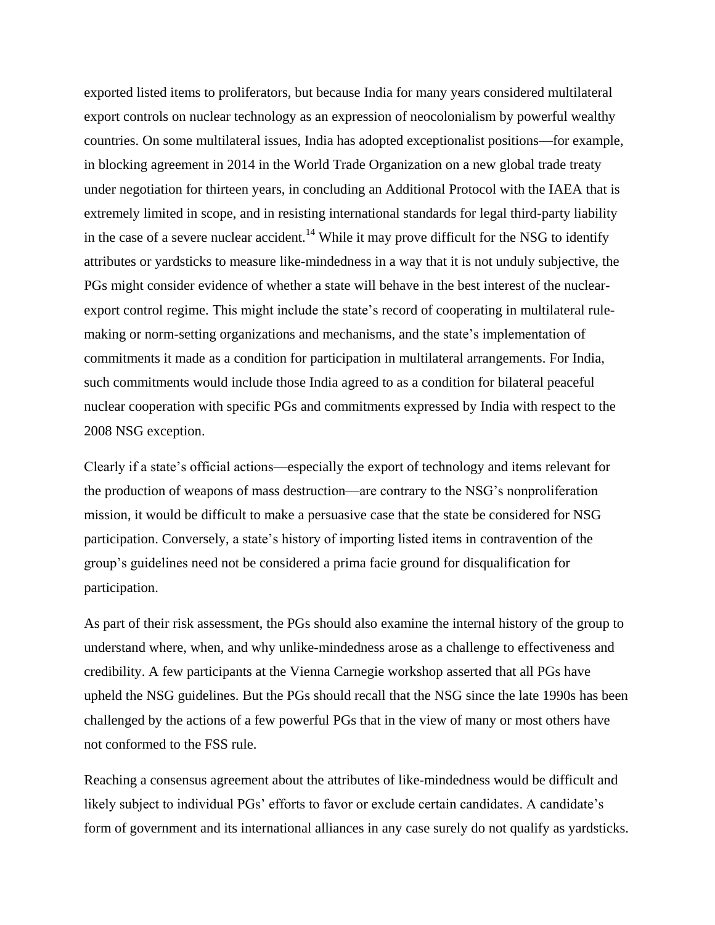exported listed items to proliferators, but because India for many years considered multilateral export controls on nuclear technology as an expression of neocolonialism by powerful wealthy countries. On some multilateral issues, India has adopted exceptionalist positions—for example, in blocking agreement in 2014 in the World Trade Organization on a new global trade treaty under negotiation for thirteen years, in concluding an Additional Protocol with the IAEA that is extremely limited in scope, and in resisting international standards for legal third-party liability in the case of a severe nuclear accident.<sup>14</sup> While it may prove difficult for the NSG to identify attributes or yardsticks to measure like-mindedness in a way that it is not unduly subjective, the PGs might consider evidence of whether a state will behave in the best interest of the nuclearexport control regime. This might include the state's record of cooperating in multilateral rulemaking or norm-setting organizations and mechanisms, and the state's implementation of commitments it made as a condition for participation in multilateral arrangements. For India, such commitments would include those India agreed to as a condition for bilateral peaceful nuclear cooperation with specific PGs and commitments expressed by India with respect to the 2008 NSG exception.

Clearly if a state's official actions—especially the export of technology and items relevant for the production of weapons of mass destruction—are contrary to the NSG's nonproliferation mission, it would be difficult to make a persuasive case that the state be considered for NSG participation. Conversely, a state's history of importing listed items in contravention of the group's guidelines need not be considered a prima facie ground for disqualification for participation.

As part of their risk assessment, the PGs should also examine the internal history of the group to understand where, when, and why unlike-mindedness arose as a challenge to effectiveness and credibility. A few participants at the Vienna Carnegie workshop asserted that all PGs have upheld the NSG guidelines. But the PGs should recall that the NSG since the late 1990s has been challenged by the actions of a few powerful PGs that in the view of many or most others have not conformed to the FSS rule.

Reaching a consensus agreement about the attributes of like-mindedness would be difficult and likely subject to individual PGs' efforts to favor or exclude certain candidates. A candidate's form of government and its international alliances in any case surely do not qualify as yardsticks.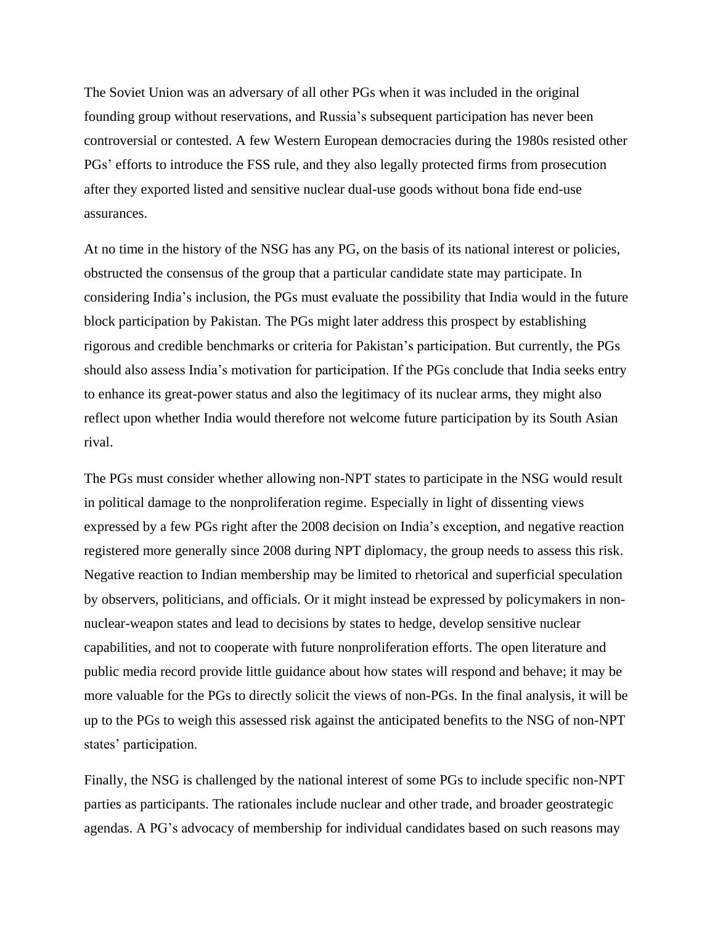The Soviet Union was an adversary of all other PGs when it was included in the original founding group without reservations, and Russia's subsequent participation has never been controversial or contested. A few Western European democracies during the 1980s resisted other PGs' efforts to introduce the FSS rule, and they also legally protected firms from prosecution after they exported listed and sensitive nuclear dual-use goods without bona fide end-use assurances.

At no time in the history of the NSG has any PG, on the basis of its national interest or policies, obstructed the consensus of the group that a particular candidate state may participate. In considering India's inclusion, the PGs must evaluate the possibility that India would in the future block participation by Pakistan. The PGs might later address this prospect by establishing rigorous and credible benchmarks or criteria for Pakistan's participation. But currently, the PGs should also assess India's motivation for participation. If the PGs conclude that India seeks entry to enhance its great-power status and also the legitimacy of its nuclear arms, they might also reflect upon whether India would therefore not welcome future participation by its South Asian rival.

The PGs must consider whether allowing non-NPT states to participate in the NSG would result in political damage to the nonproliferation regime. Especially in light of dissenting views expressed by a few PGs right after the 2008 decision on India's exception, and negative reaction registered more generally since 2008 during NPT diplomacy, the group needs to assess this risk. Negative reaction to Indian membership may be limited to rhetorical and superficial speculation by observers, politicians, and officials. Or it might instead be expressed by policymakers in nonnuclear-weapon states and lead to decisions by states to hedge, develop sensitive nuclear capabilities, and not to cooperate with future nonproliferation efforts. The open literature and public media record provide little guidance about how states will respond and behave; it may be more valuable for the PGs to directly solicit the views of non-PGs. In the final analysis, it will be up to the PGs to weigh this assessed risk against the anticipated benefits to the NSG of non-NPT states' participation.

Finally, the NSG is challenged by the national interest of some PGs to include specific non-NPT parties as participants. The rationales include nuclear and other trade, and broader geostrategic agendas. A PG's advocacy of membership for individual candidates based on such reasons may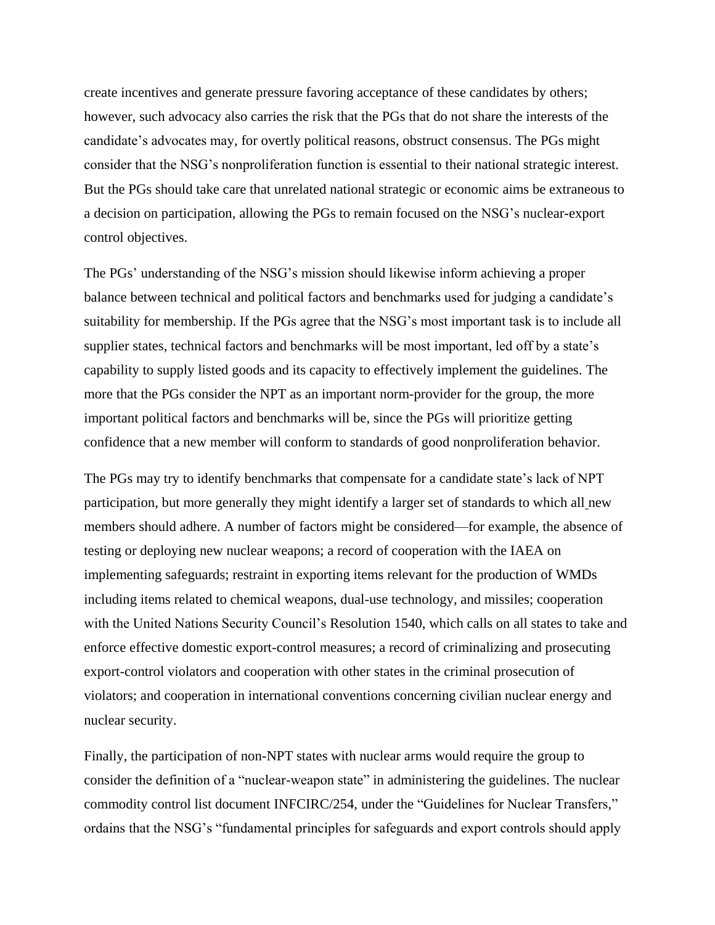create incentives and generate pressure favoring acceptance of these candidates by others; however, such advocacy also carries the risk that the PGs that do not share the interests of the candidate's advocates may, for overtly political reasons, obstruct consensus. The PGs might consider that the NSG's nonproliferation function is essential to their national strategic interest. But the PGs should take care that unrelated national strategic or economic aims be extraneous to a decision on participation, allowing the PGs to remain focused on the NSG's nuclear-export control objectives.

The PGs' understanding of the NSG's mission should likewise inform achieving a proper balance between technical and political factors and benchmarks used for judging a candidate's suitability for membership. If the PGs agree that the NSG's most important task is to include all supplier states, technical factors and benchmarks will be most important, led off by a state's capability to supply listed goods and its capacity to effectively implement the guidelines. The more that the PGs consider the NPT as an important norm-provider for the group, the more important political factors and benchmarks will be, since the PGs will prioritize getting confidence that a new member will conform to standards of good nonproliferation behavior.

The PGs may try to identify benchmarks that compensate for a candidate state's lack of NPT participation, but more generally they might identify a larger set of standards to which all new members should adhere. A number of factors might be considered—for example, the absence of testing or deploying new nuclear weapons; a record of cooperation with the IAEA on implementing safeguards; restraint in exporting items relevant for the production of WMDs including items related to chemical weapons, dual-use technology, and missiles; cooperation with the United Nations Security Council's Resolution 1540, which calls on all states to take and enforce effective domestic export-control measures; a record of criminalizing and prosecuting export-control violators and cooperation with other states in the criminal prosecution of violators; and cooperation in international conventions concerning civilian nuclear energy and nuclear security.

Finally, the participation of non-NPT states with nuclear arms would require the group to consider the definition of a "nuclear-weapon state" in administering the guidelines. The nuclear commodity control list document INFCIRC/254, under the "Guidelines for Nuclear Transfers," ordains that the NSG's "fundamental principles for safeguards and export controls should apply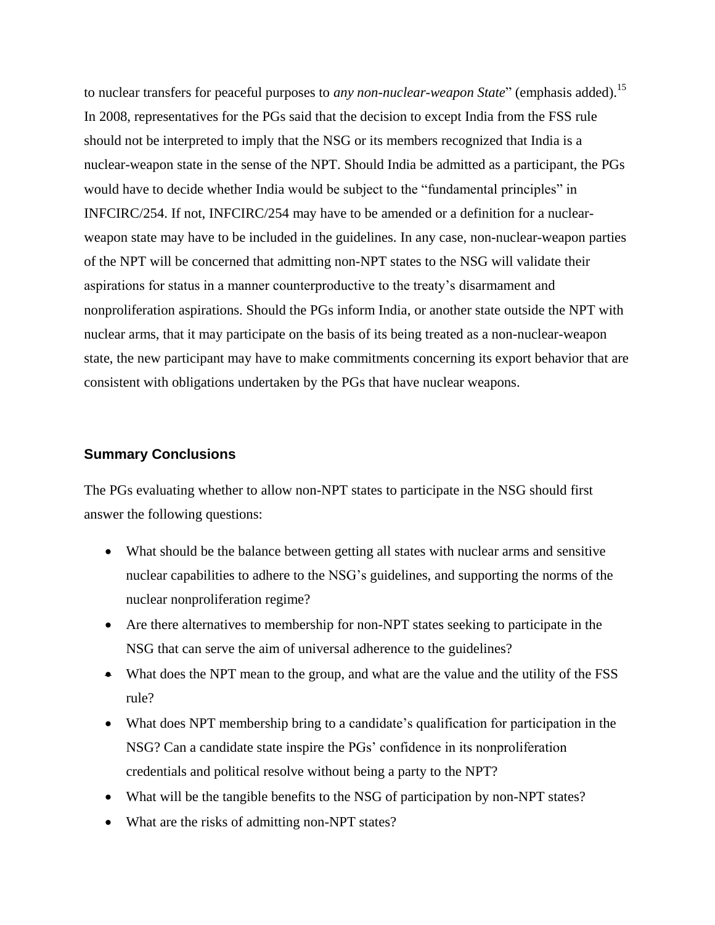to nuclear transfers for peaceful purposes to *any non-nuclear-weapon State*" (emphasis added).<sup>15</sup> In 2008, representatives for the PGs said that the decision to except India from the FSS rule should not be interpreted to imply that the NSG or its members recognized that India is a nuclear-weapon state in the sense of the NPT. Should India be admitted as a participant, the PGs would have to decide whether India would be subject to the "fundamental principles" in INFCIRC/254. If not, INFCIRC/254 may have to be amended or a definition for a nuclearweapon state may have to be included in the guidelines. In any case, non-nuclear-weapon parties of the NPT will be concerned that admitting non-NPT states to the NSG will validate their aspirations for status in a manner counterproductive to the treaty's disarmament and nonproliferation aspirations. Should the PGs inform India, or another state outside the NPT with nuclear arms, that it may participate on the basis of its being treated as a non-nuclear-weapon state, the new participant may have to make commitments concerning its export behavior that are consistent with obligations undertaken by the PGs that have nuclear weapons.

#### **Summary Conclusions**

The PGs evaluating whether to allow non-NPT states to participate in the NSG should first answer the following questions:

- What should be the balance between getting all states with nuclear arms and sensitive nuclear capabilities to adhere to the NSG's guidelines, and supporting the norms of the nuclear nonproliferation regime?
- Are there alternatives to membership for non-NPT states seeking to participate in the NSG that can serve the aim of universal adherence to the guidelines?
- What does the NPT mean to the group, and what are the value and the utility of the FSS rule?
- What does NPT membership bring to a candidate's qualification for participation in the NSG? Can a candidate state inspire the PGs' confidence in its nonproliferation credentials and political resolve without being a party to the NPT?
- What will be the tangible benefits to the NSG of participation by non-NPT states?
- What are the risks of admitting non-NPT states?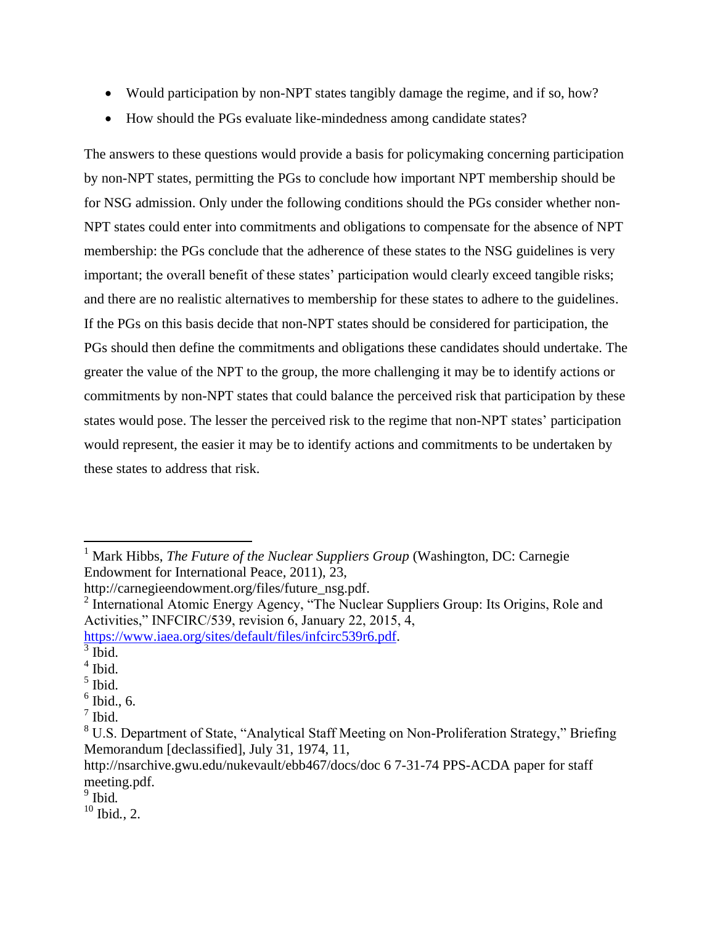- Would participation by non-NPT states tangibly damage the regime, and if so, how?
- How should the PGs evaluate like-mindedness among candidate states?

The answers to these questions would provide a basis for policymaking concerning participation by non-NPT states, permitting the PGs to conclude how important NPT membership should be for NSG admission. Only under the following conditions should the PGs consider whether non-NPT states could enter into commitments and obligations to compensate for the absence of NPT membership: the PGs conclude that the adherence of these states to the NSG guidelines is very important; the overall benefit of these states' participation would clearly exceed tangible risks; and there are no realistic alternatives to membership for these states to adhere to the guidelines. If the PGs on this basis decide that non-NPT states should be considered for participation, the PGs should then define the commitments and obligations these candidates should undertake. The greater the value of the NPT to the group, the more challenging it may be to identify actions or commitments by non-NPT states that could balance the perceived risk that participation by these states would pose. The lesser the perceived risk to the regime that non-NPT states' participation would represent, the easier it may be to identify actions and commitments to be undertaken by these states to address that risk.

 $\overline{a}$ 

<sup>&</sup>lt;sup>1</sup> Mark Hibbs, *The Future of the Nuclear Suppliers Group* (Washington, DC: Carnegie Endowment for International Peace, 2011), 23,

http://carnegieendowment.org/files/future\_nsg.pdf.

<sup>&</sup>lt;sup>2</sup> International Atomic Energy Agency, "The Nuclear Suppliers Group: Its Origins, Role and Activities," INFCIRC/539, revision 6, January 22, 2015, 4,

[https://www.iaea.org/sites/default/files/infcirc539r6.pdf.](https://www.iaea.org/sites/default/files/infcirc539r6.pdf)

 $3$  Ibid.

<sup>4</sup> Ibid.

<sup>5</sup> Ibid.

 $<sup>6</sup>$  Ibid., 6.</sup>

 $<sup>7</sup>$  Ibid.</sup>

<sup>&</sup>lt;sup>8</sup> U.S. Department of State, "Analytical Staff Meeting on Non-Proliferation Strategy," Briefing Memorandum [declassified], July 31, 1974, 11,

http://nsarchive.gwu.edu/nukevault/ebb467/docs/doc 6 7-31-74 PPS-ACDA paper for staff meeting.pdf.

<sup>9</sup> Ibid*.*

 $10$  Ibid<sub> $\sim$  2.</sub>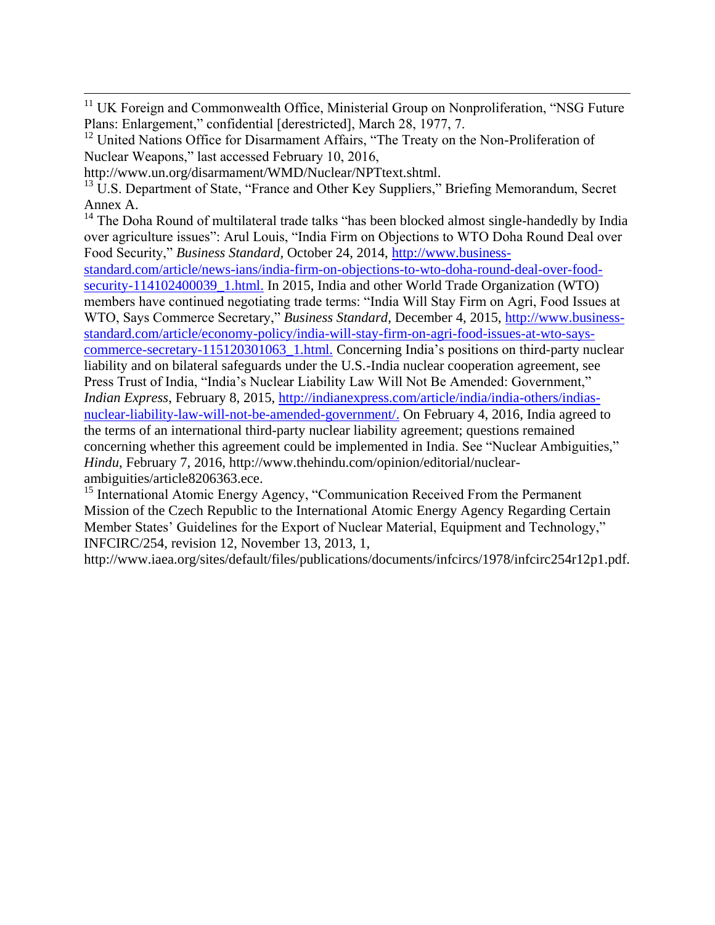<sup>11</sup> UK Foreign and Commonwealth Office, Ministerial Group on Nonproliferation, "NSG Future Plans: Enlargement," confidential [derestricted], March 28, 1977, 7.

http://www.un.org/disarmament/WMD/Nuclear/NPTtext.shtml.

 $\overline{a}$ 

<sup>13</sup> U.S. Department of State, "France and Other Key Suppliers," Briefing Memorandum, Secret Annex A.

<sup>14</sup> The Doha Round of multilateral trade talks "has been blocked almost single-handedly by India over agriculture issues": Arul Louis, "India Firm on Objections to WTO Doha Round Deal over Food Security," *Business Standard,* October 24, 2014, [http://www.business-](http://www.business-standard.com/article/news-ians/india-firm-on-objections-to-wto-doha-round-deal-over-food-security-114102400039_1.html)

[standard.com/article/news-ians/india-firm-on-objections-to-wto-doha-round-deal-over-food](http://www.business-standard.com/article/news-ians/india-firm-on-objections-to-wto-doha-round-deal-over-food-security-114102400039_1.html)security-114102400039 1.html. In 2015, India and other World Trade Organization (WTO) members have continued negotiating trade terms: "India Will Stay Firm on Agri, Food Issues at WTO, Says Commerce Secretary," *Business Standard*, December 4, 2015, [http://www.business](http://www.business-standard.com/article/economy-policy/india-will-stay-firm-on-agri-food-issues-at-wto-says-commerce-secretary-115120301063_1.html)[standard.com/article/economy-policy/india-will-stay-firm-on-agri-food-issues-at-wto-says](http://www.business-standard.com/article/economy-policy/india-will-stay-firm-on-agri-food-issues-at-wto-says-commerce-secretary-115120301063_1.html)[commerce-secretary-115120301063\\_1.html.](http://www.business-standard.com/article/economy-policy/india-will-stay-firm-on-agri-food-issues-at-wto-says-commerce-secretary-115120301063_1.html) Concerning India's positions on third-party nuclear liability and on bilateral safeguards under the U.S.-India nuclear cooperation agreement, see Press Trust of India, "India's Nuclear Liability Law Will Not Be Amended: Government," *Indian Express*, February 8, 2015, [http://indianexpress.com/article/india/india-others/indias](http://indianexpress.com/article/india/india-others/indias-nuclear-liability-law-will-not-be-amended-government/)[nuclear-liability-law-will-not-be-amended-government/.](http://indianexpress.com/article/india/india-others/indias-nuclear-liability-law-will-not-be-amended-government/) On February 4, 2016, India agreed to the terms of an international third-party nuclear liability agreement; questions remained concerning whether this agreement could be implemented in India. See "Nuclear Ambiguities," *Hindu*, February 7, 2016, http://www.thehindu.com/opinion/editorial/nuclearambiguities/article8206363.ece.

<sup>15</sup> International Atomic Energy Agency, "Communication Received From the Permanent Mission of the Czech Republic to the International Atomic Energy Agency Regarding Certain Member States' Guidelines for the Export of Nuclear Material, Equipment and Technology," INFCIRC/254, revision 12, November 13, 2013, 1,

http://www.iaea.org/sites/default/files/publications/documents/infcircs/1978/infcirc254r12p1.pdf.

 $12$  United Nations Office for Disarmament Affairs, "The Treaty on the Non-Proliferation of Nuclear Weapons," last accessed February 10, 2016,